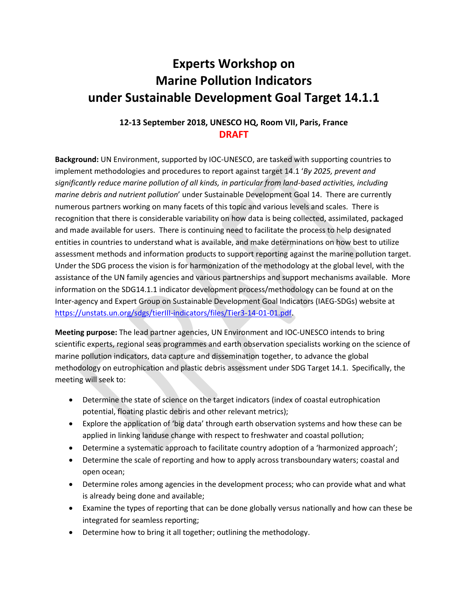## **Experts Workshop on Marine Pollution Indicators under Sustainable Development Goal Target 14.1.1**

## **12-13 September 2018, UNESCO HQ, Room VII, Paris, France DRAFT**

**Background:** UN Environment, supported by IOC-UNESCO, are tasked with supporting countries to implement methodologies and procedures to report against target 14.1 '*By 2025, prevent and significantly reduce marine pollution of all kinds, in particular from land-based activities, including marine debris and nutrient pollution*' under Sustainable Development Goal 14. There are currently numerous partners working on many facets of this topic and various levels and scales. There is recognition that there is considerable variability on how data is being collected, assimilated, packaged and made available for users. There is continuing need to facilitate the process to help designated entities in countries to understand what is available, and make determinations on how best to utilize assessment methods and information products to support reporting against the marine pollution target. Under the SDG process the vision is for harmonization of the methodology at the global level, with the assistance of the UN family agencies and various partnerships and support mechanisms available. More information on the SDG14.1.1 indicator development process/methodology can be found at on the Inter-agency and Expert Group on Sustainable Development Goal Indicators (IAEG-SDGs) website at [https://unstats.un.org/sdgs/tierIII-indicators/files/Tier3-14-01-01.pdf.](https://unstats.un.org/sdgs/tierIII-indicators/files/Tier3-14-01-01.pdf)

**Meeting purpose:** The lead partner agencies, UN Environment and IOC-UNESCO intends to bring scientific experts, regional seas programmes and earth observation specialists working on the science of marine pollution indicators, data capture and dissemination together, to advance the global methodology on eutrophication and plastic debris assessment under SDG Target 14.1. Specifically, the meeting will seek to:

- Determine the state of science on the target indicators (index of coastal eutrophication potential, floating plastic debris and other relevant metrics);
- Explore the application of 'big data' through earth observation systems and how these can be applied in linking landuse change with respect to freshwater and coastal pollution;
- Determine a systematic approach to facilitate country adoption of a 'harmonized approach';
- Determine the scale of reporting and how to apply across transboundary waters; coastal and open ocean;
- Determine roles among agencies in the development process; who can provide what and what is already being done and available;
- Examine the types of reporting that can be done globally versus nationally and how can these be integrated for seamless reporting;
- Determine how to bring it all together; outlining the methodology.